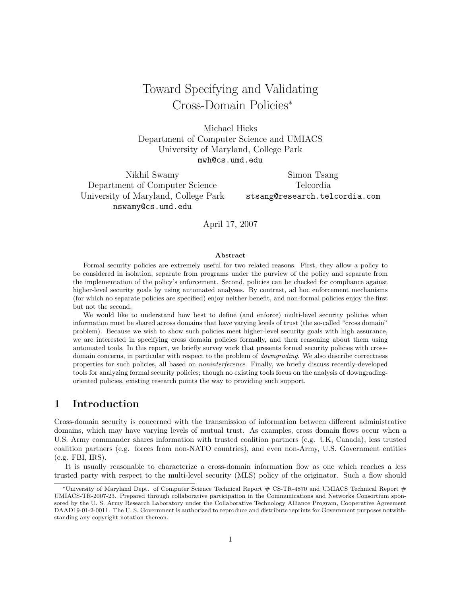# Toward Specifying and Validating Cross-Domain Policies<sup>∗</sup>

Michael Hicks Department of Computer Science and UMIACS University of Maryland, College Park mwh@cs.umd.edu

Nikhil Swamy Department of Computer Science University of Maryland, College Park nswamy@cs.umd.edu

Simon Tsang Telcordia stsang@research.telcordia.com

April 17, 2007

#### Abstract

Formal security policies are extremely useful for two related reasons. First, they allow a policy to be considered in isolation, separate from programs under the purview of the policy and separate from the implementation of the policy's enforcement. Second, policies can be checked for compliance against higher-level security goals by using automated analyses. By contrast, ad hoc enforcement mechanisms (for which no separate policies are specified) enjoy neither benefit, and non-formal policies enjoy the first but not the second.

We would like to understand how best to define (and enforce) multi-level security policies when information must be shared across domains that have varying levels of trust (the so-called "cross domain" problem). Because we wish to show such policies meet higher-level security goals with high assurance, we are interested in specifying cross domain policies formally, and then reasoning about them using automated tools. In this report, we briefly survey work that presents formal security policies with crossdomain concerns, in particular with respect to the problem of downgrading. We also describe correctness properties for such policies, all based on noninterference. Finally, we briefly discuss recently-developed tools for analyzing formal security policies; though no existing tools focus on the analysis of downgradingoriented policies, existing research points the way to providing such support.

## 1 Introduction

Cross-domain security is concerned with the transmission of information between different administrative domains, which may have varying levels of mutual trust. As examples, cross domain flows occur when a U.S. Army commander shares information with trusted coalition partners (e.g. UK, Canada), less trusted coalition partners (e.g. forces from non-NATO countries), and even non-Army, U.S. Government entities (e.g. FBI, IRS).

It is usually reasonable to characterize a cross-domain information flow as one which reaches a less trusted party with respect to the multi-level security (MLS) policy of the originator. Such a flow should

<sup>∗</sup>University of Maryland Dept. of Computer Science Technical Report # CS-TR-4870 and UMIACS Technical Report # UMIACS-TR-2007-23. Prepared through collaborative participation in the Communications and Networks Consortium sponsored by the U. S. Army Research Laboratory under the Collaborative Technology Alliance Program, Cooperative Agreement DAAD19-01-2-0011. The U. S. Government is authorized to reproduce and distribute reprints for Government purposes notwithstanding any copyright notation thereon.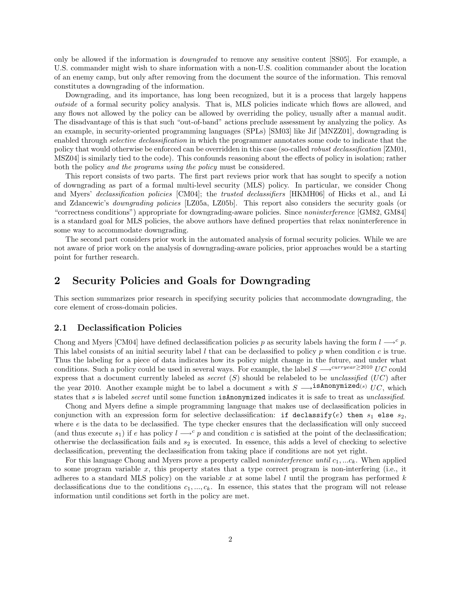only be allowed if the information is downgraded to remove any sensitive content [SS05]. For example, a U.S. commander might wish to share information with a non-U.S. coalition commander about the location of an enemy camp, but only after removing from the document the source of the information. This removal constitutes a downgrading of the information.

Downgrading, and its importance, has long been recognized, but it is a process that largely happens outside of a formal security policy analysis. That is, MLS policies indicate which flows are allowed, and any flows not allowed by the policy can be allowed by overriding the policy, usually after a manual audit. The disadvantage of this is that such "out-of-band" actions preclude assessment by analyzing the policy. As an example, in security-oriented programming languages (SPLs) [SM03] like Jif [MNZZ01], downgrading is enabled through *selective declassification* in which the programmer annotates some code to indicate that the policy that would otherwise be enforced can be overridden in this case (so-called robust declassification [ZM01, MSZ04] is similarly tied to the code). This confounds reasoning about the effects of policy in isolation; rather both the policy and the programs using the policy must be considered.

This report consists of two parts. The first part reviews prior work that has sought to specify a notion of downgrading as part of a formal multi-level security (MLS) policy. In particular, we consider Chong and Myers' declassification policies [CM04]; the trusted declassifiers [HKMH06] of Hicks et al., and Li and Zdancewic's downgrading policies [LZ05a, LZ05b]. This report also considers the security goals (or "correctness conditions") appropriate for downgrading-aware policies. Since noninterference [GM82, GM84] is a standard goal for MLS policies, the above authors have defined properties that relax noninterference in some way to accommodate downgrading.

The second part considers prior work in the automated analysis of formal security policies. While we are not aware of prior work on the analysis of downgrading-aware policies, prior approaches would be a starting point for further research.

## 2 Security Policies and Goals for Downgrading

This section summarizes prior research in specifying security policies that accommodate downgrading, the core element of cross-domain policies.

#### 2.1 Declassification Policies

Chong and Myers [CM04] have defined declassification policies p as security labels having the form  $l \rightarrow c$  p. This label consists of an initial security label  $l$  that can be declassified to policy  $p$  when condition  $c$  is true. Thus the labeling for a piece of data indicates how its policy might change in the future, and under what conditions. Such a policy could be used in several ways. For example, the label  $S \longrightarrow^{curryear \geq 2010} UC$  could express that a document currently labeled as *secret*  $(S)$  should be relabeled to be unclassified  $(UC)$  after the year 2010. Another example might be to label a document s with  $S \longrightarrow$ **isAnonymized**(s) UC, which states that s is labeled secret until some function is Anonymized indicates it is safe to treat as unclassified.

Chong and Myers define a simple programming language that makes use of declassification policies in conjunction with an expression form for selective declassification: if declassify(e) then  $s_1$  else  $s_2$ , where  $e$  is the data to be declassified. The type checker ensures that the declassification will only succeed (and thus execute  $s_1$ ) if e has policy  $l \rightarrow c$  p and condition c is satisfied at the point of the declassification; otherwise the declassification fails and  $s_2$  is executed. In essence, this adds a level of checking to selective declassification, preventing the declassification from taking place if conditions are not yet right.

For this language Chong and Myers prove a property called *noninterference until*  $c_1, \ldots, c_k$ . When applied to some program variable  $x$ , this property states that a type correct program is non-interfering (i.e., it adheres to a standard MLS policy) on the variable x at some label  $l$  until the program has performed  $k$ declassifications due to the conditions  $c_1, ..., c_k$ . In essence, this states that the program will not release information until conditions set forth in the policy are met.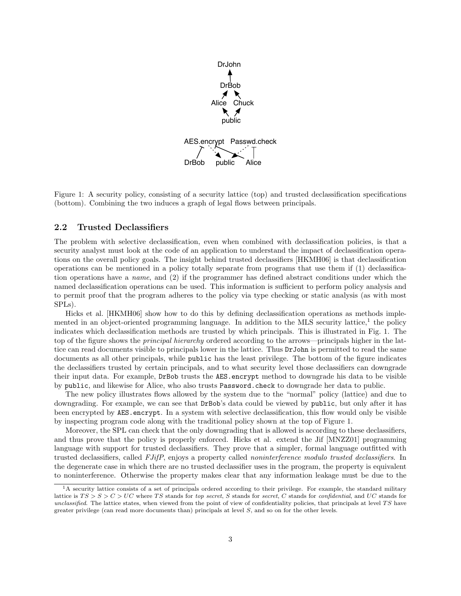

Figure 1: A security policy, consisting of a security lattice (top) and trusted declassification specifications (bottom). Combining the two induces a graph of legal flows between principals.

#### 2.2 Trusted Declassifiers

The problem with selective declassification, even when combined with declassification policies, is that a security analyst must look at the code of an application to understand the impact of declassification operations on the overall policy goals. The insight behind trusted declassifiers [HKMH06] is that declassification operations can be mentioned in a policy totally separate from programs that use them if (1) declassification operations have a name, and (2) if the programmer has defined abstract conditions under which the named declassification operations can be used. This information is sufficient to perform policy analysis and to permit proof that the program adheres to the policy via type checking or static analysis (as with most SPLs).

Hicks et al. [HKMH06] show how to do this by defining declassification operations as methods implemented in an object-oriented programming language. In addition to the MLS security lattice,<sup>1</sup> the policy indicates which declassification methods are trusted by which principals. This is illustrated in Fig. 1. The top of the figure shows the *principal hierarchy* ordered according to the arrows—principals higher in the lattice can read documents visible to principals lower in the lattice. Thus DrJohn is permitted to read the same documents as all other principals, while public has the least privilege. The bottom of the figure indicates the declassifiers trusted by certain principals, and to what security level those declassifiers can downgrade their input data. For example, DrBob trusts the AES.encrypt method to downgrade his data to be visible by public, and likewise for Alice, who also trusts Password.check to downgrade her data to public.

The new policy illustrates flows allowed by the system due to the "normal" policy (lattice) and due to downgrading. For example, we can see that DrBob's data could be viewed by public, but only after it has been encrypted by AES.encrypt. In a system with selective declassification, this flow would only be visible by inspecting program code along with the traditional policy shown at the top of Figure 1.

Moreover, the SPL can check that the only downgrading that is allowed is according to these declassifiers, and thus prove that the policy is properly enforced. Hicks et al. extend the Jif [MNZZ01] programming language with support for trusted declassifiers. They prove that a simpler, formal language outfitted with trusted declassifiers, called FJifP, enjoys a property called noninterference modulo trusted declassifiers. In the degenerate case in which there are no trusted declassifier uses in the program, the property is equivalent to noninterference. Otherwise the property makes clear that any information leakage must be due to the

 $1A$  security lattice consists of a set of principals ordered according to their privilege. For example, the standard military lattice is  $TS > S > C > UC$  where TS stands for top secret, S stands for secret, C stands for confidential, and UC stands for unclassified. The lattice states, when viewed from the point of view of confidentiality policies, that principals at level  $TS$  have greater privilege (can read more documents than) principals at level  $S$ , and so on for the other levels.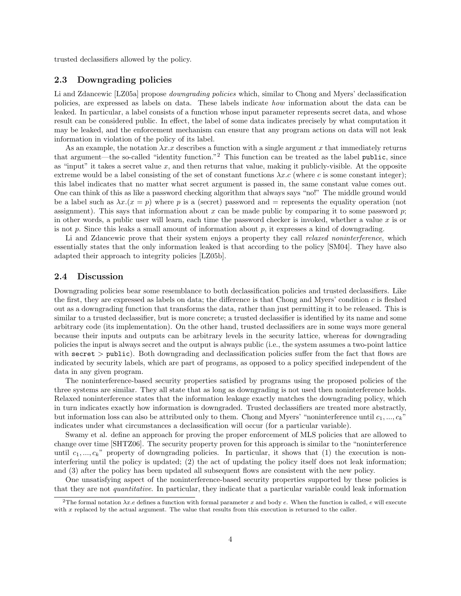trusted declassifiers allowed by the policy.

#### 2.3 Downgrading policies

Li and Zdancewic [LZ05a] propose *downgrading policies* which, similar to Chong and Myers' declassification policies, are expressed as labels on data. These labels indicate how information about the data can be leaked. In particular, a label consists of a function whose input parameter represents secret data, and whose result can be considered public. In effect, the label of some data indicates precisely by what computation it may be leaked, and the enforcement mechanism can ensure that any program actions on data will not leak information in violation of the policy of its label.

As an example, the notation  $\lambda x.x$  describes a function with a single argument x that immediately returns that argument—the so-called "identity function."<sup>2</sup> This function can be treated as the label public, since as "input" it takes a secret value  $x$ , and then returns that value, making it publicly-visible. At the opposite extreme would be a label consisting of the set of constant functions  $\lambda x.c$  (where c is some constant integer); this label indicates that no matter what secret argument is passed in, the same constant value comes out. One can think of this as like a password checking algorithm that always says "no!" The middle ground would be a label such as  $\lambda x.(x = p)$  where p is a (secret) password and = represents the equality operation (not assignment). This says that information about x can be made public by comparing it to some password  $p$ ; in other words, a public user will learn, each time the password checker is invoked, whether a value  $x$  is or is not p. Since this leaks a small amount of information about p, it expresses a kind of downgrading.

Li and Zdancewic prove that their system enjoys a property they call *relaxed noninterference*, which essentially states that the only information leaked is that according to the policy [SM04]. They have also adapted their approach to integrity policies [LZ05b].

#### 2.4 Discussion

Downgrading policies bear some resemblance to both declassification policies and trusted declassifiers. Like the first, they are expressed as labels on data; the difference is that Chong and Myers' condition  $c$  is fleshed out as a downgrading function that transforms the data, rather than just permitting it to be released. This is similar to a trusted declassifier, but is more concrete; a trusted declassifier is identified by its name and some arbitrary code (its implementation). On the other hand, trusted declassifiers are in some ways more general because their inputs and outputs can be arbitrary levels in the security lattice, whereas for downgrading policies the input is always secret and the output is always public (i.e., the system assumes a two-point lattice with secret  $>$  public). Both downgrading and declassification policies suffer from the fact that flows are indicated by security labels, which are part of programs, as opposed to a policy specified independent of the data in any given program.

The noninterference-based security properties satisfied by programs using the proposed policies of the three systems are similar. They all state that as long as downgrading is not used then noninterference holds. Relaxed noninterference states that the information leakage exactly matches the downgrading policy, which in turn indicates exactly how information is downgraded. Trusted declassifiers are treated more abstractly, but information loss can also be attributed only to them. Chong and Myers' "noninterference until  $c_1, ..., c_k$ " indicates under what circumstances a declassification will occur (for a particular variable).

Swamy et al. define an approach for proving the proper enforcement of MLS policies that are allowed to change over time [SHTZ06]. The security property proven for this approach is similar to the "noninterference until  $c_1, ..., c_k$ " property of downgrading policies. In particular, it shows that (1) the execution is noninterfering until the policy is updated; (2) the act of updating the policy itself does not leak information; and (3) after the policy has been updated all subsequent flows are consistent with the new policy.

One unsatisfying aspect of the noninterference-based security properties supported by these policies is that they are not quantitative. In particular, they indicate that a particular variable could leak information

<sup>&</sup>lt;sup>2</sup>The formal notation  $\lambda x.e$  defines a function with formal parameter x and body e. When the function is called, e will execute with  $x$  replaced by the actual argument. The value that results from this execution is returned to the caller.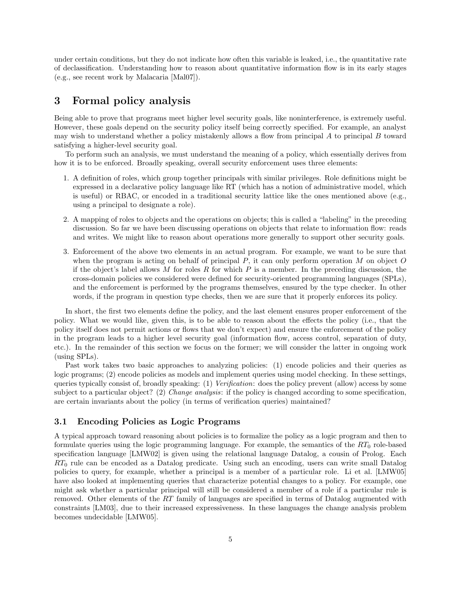under certain conditions, but they do not indicate how often this variable is leaked, i.e., the quantitative rate of declassification. Understanding how to reason about quantitative information flow is in its early stages (e.g., see recent work by Malacaria [Mal07]).

## 3 Formal policy analysis

Being able to prove that programs meet higher level security goals, like noninterference, is extremely useful. However, these goals depend on the security policy itself being correctly specified. For example, an analyst may wish to understand whether a policy mistakenly allows a flow from principal  $A$  to principal  $B$  toward satisfying a higher-level security goal.

To perform such an analysis, we must understand the meaning of a policy, which essentially derives from how it is to be enforced. Broadly speaking, overall security enforcement uses three elements:

- 1. A definition of roles, which group together principals with similar privileges. Role definitions might be expressed in a declarative policy language like RT (which has a notion of administrative model, which is useful) or RBAC, or encoded in a traditional security lattice like the ones mentioned above (e.g., using a principal to designate a role).
- 2. A mapping of roles to objects and the operations on objects; this is called a "labeling" in the preceding discussion. So far we have been discussing operations on objects that relate to information flow: reads and writes. We might like to reason about operations more generally to support other security goals.
- 3. Enforcement of the above two elements in an actual program. For example, we want to be sure that when the program is acting on behalf of principal  $P$ , it can only perform operation  $M$  on object  $O$ if the object's label allows  $M$  for roles  $R$  for which  $P$  is a member. In the preceding discussion, the cross-domain policies we considered were defined for security-oriented programming languages (SPLs), and the enforcement is performed by the programs themselves, ensured by the type checker. In other words, if the program in question type checks, then we are sure that it properly enforces its policy.

In short, the first two elements define the policy, and the last element ensures proper enforcement of the policy. What we would like, given this, is to be able to reason about the effects the policy (i.e., that the policy itself does not permit actions or flows that we don't expect) and ensure the enforcement of the policy in the program leads to a higher level security goal (information flow, access control, separation of duty, etc.). In the remainder of this section we focus on the former; we will consider the latter in ongoing work (using SPLs).

Past work takes two basic approaches to analyzing policies: (1) encode policies and their queries as logic programs; (2) encode policies as models and implement queries using model checking. In these settings, queries typically consist of, broadly speaking: (1) Verification: does the policy prevent (allow) access by some subject to a particular object? (2) *Change analysis*: if the policy is changed according to some specification, are certain invariants about the policy (in terms of verification queries) maintained?

### 3.1 Encoding Policies as Logic Programs

A typical approach toward reasoning about policies is to formalize the policy as a logic program and then to formulate queries using the logic programming language. For example, the semantics of the  $RT_0$  role-based specification language [LMW02] is given using the relational language Datalog, a cousin of Prolog. Each  $RT_0$  rule can be encoded as a Datalog predicate. Using such an encoding, users can write small Datalog policies to query, for example, whether a principal is a member of a particular role. Li et al. [LMW05] have also looked at implementing queries that characterize potential changes to a policy. For example, one might ask whether a particular principal will still be considered a member of a role if a particular rule is removed. Other elements of the RT family of languages are specified in terms of Datalog augmented with constraints [LM03], due to their increased expressiveness. In these languages the change analysis problem becomes undecidable [LMW05].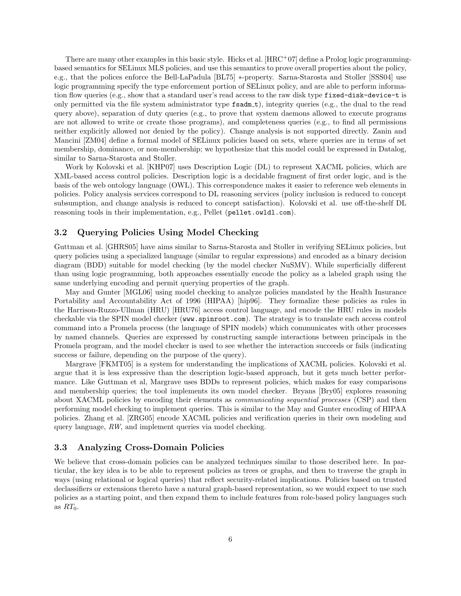There are many other examples in this basic style. Hicks et al.  $[\text{HRC}^+07]$  define a Prolog logic programmingbased semantics for SELinux MLS policies, and use this semantics to prove overall properties about the policy, e.g., that the polices enforce the Bell-LaPadula [BL75] ∗-property. Sarna-Starosta and Stoller [SSS04] use logic programming specify the type enforcement portion of SELinux policy, and are able to perform information flow queries (e.g., show that a standard user's read access to the raw disk type fixed-disk-device-t is only permitted via the file system administrator type fsadm t), integrity queries (e.g., the dual to the read query above), separation of duty queries (e.g., to prove that system daemons allowed to execute programs are not allowed to write or create those programs), and completeness queries (e.g., to find all permissions neither explicitly allowed nor denied by the policy). Change analysis is not supported directly. Zanin and Mancini [ZM04] define a formal model of SELinux policies based on sets, where queries are in terms of set membership, dominance, or non-membership; we hypothesize that this model could be expressed in Datalog, similar to Sarna-Starosta and Stoller.

Work by Kolovski et al. [KHP07] uses Description Logic (DL) to represent XACML policies, which are XML-based access control policies. Description logic is a decidable fragment of first order logic, and is the basis of the web ontology language (OWL). This correspondence makes it easier to reference web elements in policies. Policy analysis services correspond to DL reasoning services (policy inclusion is reduced to concept subsumption, and change analysis is reduced to concept satisfaction). Kolovski et al. use off-the-shelf DL reasoning tools in their implementation, e.g., Pellet (pellet.owldl.com).

#### 3.2 Querying Policies Using Model Checking

Guttman et al. [GHRS05] have aims similar to Sarna-Starosta and Stoller in verifying SELinux policies, but query policies using a specialized language (similar to regular expressions) and encoded as a binary decision diagram (BDD) suitable for model checking (by the model checker NuSMV). While superficially different than using logic programming, both approaches essentially encode the policy as a labeled graph using the same underlying encoding and permit querying properties of the graph.

May and Gunter [MGL06] using model checking to analyze policies mandated by the Health Insurance Portability and Accountability Act of 1996 (HIPAA) [hip96]. They formalize these policies as rules in the Harrison-Ruzzo-Ullman (HRU) [HRU76] access control language, and encode the HRU rules in models checkable via the SPIN model checker (www.spinroot.com). The strategy is to translate each access control command into a Promela process (the language of SPIN models) which communicates with other processes by named channels. Queries are expressed by constructing sample interactions between principals in the Promela program, and the model checker is used to see whether the interaction succeeds or fails (indicating success or failure, depending on the purpose of the query).

Margrave [FKMT05] is a system for understanding the implications of XACML policies. Kolovski et al. argue that it is less expressive than the description logic-based approach, but it gets much better performance. Like Guttman et al, Margrave uses BDDs to represent policies, which makes for easy comparisons and membership queries; the tool implements its own model checker. Bryans [Bry05] explores reasoning about XACML policies by encoding their elements as *communicating sequential processes* (CSP) and then performing model checking to implement queries. This is similar to the May and Gunter encoding of HIPAA policies. Zhang et al. [ZRG05] encode XACML policies and verification queries in their own modeling and query language, RW, and implement queries via model checking.

#### 3.3 Analyzing Cross-Domain Policies

We believe that cross-domain policies can be analyzed techniques similar to those described here. In particular, the key idea is to be able to represent policies as trees or graphs, and then to traverse the graph in ways (using relational or logical queries) that reflect security-related implications. Policies based on trusted declassifiers or extensions thereto have a natural graph-based representation, so we would expect to use such policies as a starting point, and then expand them to include features from role-based policy languages such as  $RT_0$ .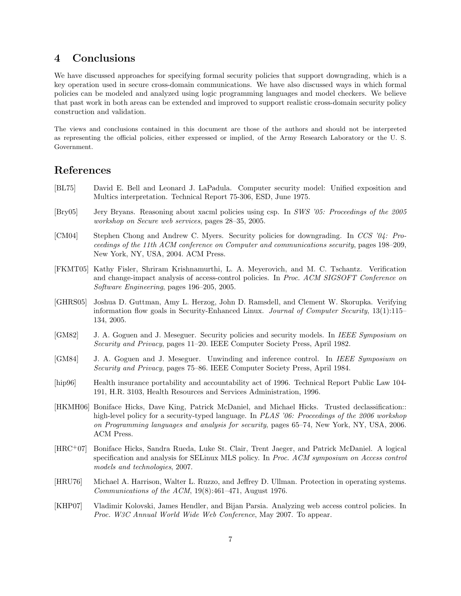## 4 Conclusions

We have discussed approaches for specifying formal security policies that support downgrading, which is a key operation used in secure cross-domain communications. We have also discussed ways in which formal policies can be modeled and analyzed using logic programming languages and model checkers. We believe that past work in both areas can be extended and improved to support realistic cross-domain security policy construction and validation.

The views and conclusions contained in this document are those of the authors and should not be interpreted as representing the official policies, either expressed or implied, of the Army Research Laboratory or the U. S. Government.

## References

- [BL75] David E. Bell and Leonard J. LaPadula. Computer security model: Unified exposition and Multics interpretation. Technical Report 75-306, ESD, June 1975.
- [Bry05] Jery Bryans. Reasoning about xacml policies using csp. In SWS '05: Proceedings of the 2005 workshop on Secure web services, pages 28–35, 2005.
- [CM04] Stephen Chong and Andrew C. Myers. Security policies for downgrading. In CCS '04: Proceedings of the 11th ACM conference on Computer and communications security, pages 198–209, New York, NY, USA, 2004. ACM Press.
- [FKMT05] Kathy Fisler, Shriram Krishnamurthi, L. A. Meyerovich, and M. C. Tschantz. Verification and change-impact analysis of access-control policies. In Proc. ACM SIGSOFT Conference on Software Engineering, pages 196–205, 2005.
- [GHRS05] Joshua D. Guttman, Amy L. Herzog, John D. Ramsdell, and Clement W. Skorupka. Verifying information flow goals in Security-Enhanced Linux. Journal of Computer Security, 13(1):115– 134, 2005.
- [GM82] J. A. Goguen and J. Meseguer. Security policies and security models. In IEEE Symposium on Security and Privacy, pages 11–20. IEEE Computer Society Press, April 1982.
- [GM84] J. A. Goguen and J. Meseguer. Unwinding and inference control. In IEEE Symposium on Security and Privacy, pages 75–86. IEEE Computer Society Press, April 1984.
- [hip96] Health insurance portability and accountability act of 1996. Technical Report Public Law 104- 191, H.R. 3103, Health Resources and Services Administration, 1996.
- [HKMH06] Boniface Hicks, Dave King, Patrick McDaniel, and Michael Hicks. Trusted declassification:: high-level policy for a security-typed language. In PLAS '06: Proceedings of the 2006 workshop on Programming languages and analysis for security, pages 65–74, New York, NY, USA, 2006. ACM Press.
- [HRC<sup>+</sup>07] Boniface Hicks, Sandra Rueda, Luke St. Clair, Trent Jaeger, and Patrick McDaniel. A logical specification and analysis for SELinux MLS policy. In Proc. ACM symposium on Access control models and technologies, 2007.
- [HRU76] Michael A. Harrison, Walter L. Ruzzo, and Jeffrey D. Ullman. Protection in operating systems. Communications of the ACM, 19(8):461–471, August 1976.
- [KHP07] Vladimir Kolovski, James Hendler, and Bijan Parsia. Analyzing web access control policies. In Proc. W3C Annual World Wide Web Conference, May 2007. To appear.